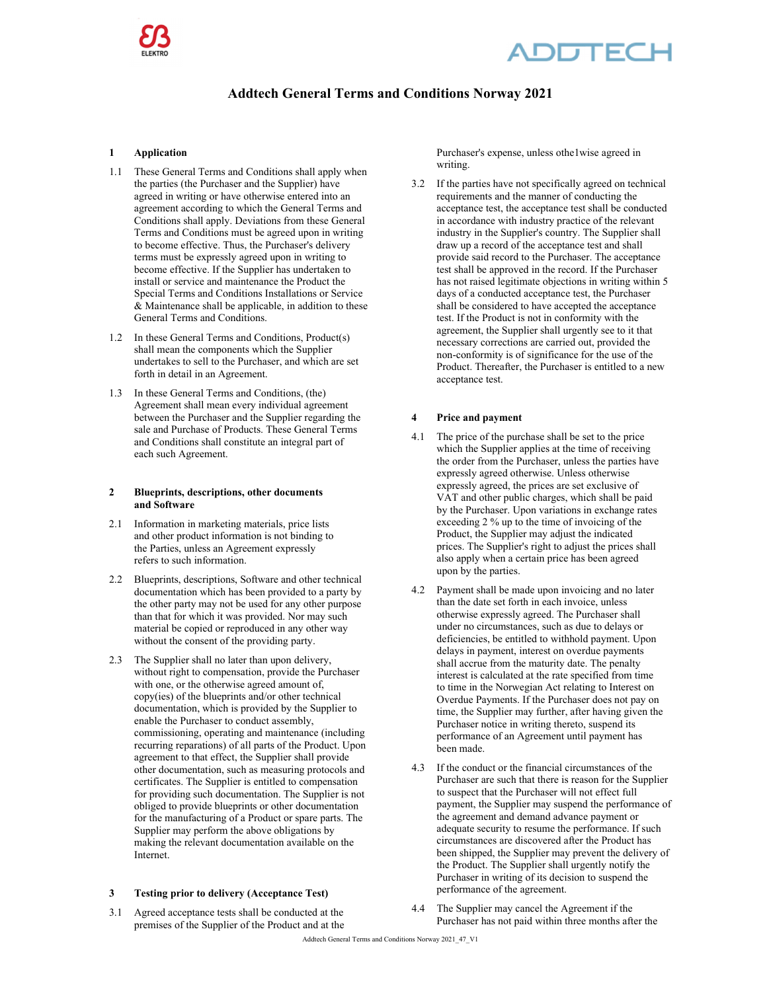

## **DDTECH**

### **Addtech General Terms and Conditions Norway 2021**

#### **1 Application**

- 1.1 These General Terms and Conditions shall apply when the parties (the Purchaser and the Supplier) have agreed in writing or have otherwise entered into an agreement according to which the General Terms and Conditions shall apply. Deviations from these General Terms and Conditions must be agreed upon in writing to become effective. Thus, the Purchaser's delivery terms must be expressly agreed upon in writing to become effective. If the Supplier has undertaken to install or service and maintenance the Product the Special Terms and Conditions Installations or Service & Maintenance shall be applicable, in addition to these General Terms and Conditions.
- 1.2 In these General Terms and Conditions, Product(s) shall mean the components which the Supplier undertakes to sell to the Purchaser, and which are set forth in detail in an Agreement.
- 1.3 In these General Terms and Conditions, (the) Agreement shall mean every individual agreement between the Purchaser and the Supplier regarding the sale and Purchase of Products. These General Terms and Conditions shall constitute an integral part of each such Agreement.

#### **2 Blueprints, descriptions, other documents and Software**

- 2.1 Information in marketing materials, price lists and other product information is not binding to the Parties, unless an Agreement expressly refers to such information.
- 2.2 Blueprints, descriptions, Software and other technical documentation which has been provided to a party by the other party may not be used for any other purpose than that for which it was provided. Nor may such material be copied or reproduced in any other way without the consent of the providing party.
- 2.3 The Supplier shall no later than upon delivery, without right to compensation, provide the Purchaser with one, or the otherwise agreed amount of, copy(ies) of the blueprints and/or other technical documentation, which is provided by the Supplier to enable the Purchaser to conduct assembly, commissioning, operating and maintenance (including recurring reparations) of all parts of the Product. Upon agreement to that effect, the Supplier shall provide other documentation, such as measuring protocols and certificates. The Supplier is entitled to compensation for providing such documentation. The Supplier is not obliged to provide blueprints or other documentation for the manufacturing of a Product or spare parts. The Supplier may perform the above obligations by making the relevant documentation available on the Internet.

#### **3 Testing prior to delivery (Acceptance Test)**

3.1 Agreed acceptance tests shall be conducted at the premises of the Supplier of the Product and at the Purchaser's expense, unless othe1wise agreed in writing.

3.2 If the parties have not specifically agreed on technical requirements and the manner of conducting the acceptance test, the acceptance test shall be conducted in accordance with industry practice of the relevant industry in the Supplier's country. The Supplier shall draw up a record of the acceptance test and shall provide said record to the Purchaser. The acceptance test shall be approved in the record. If the Purchaser has not raised legitimate objections in writing within 5 days of a conducted acceptance test, the Purchaser shall be considered to have accepted the acceptance test. If the Product is not in conformity with the agreement, the Supplier shall urgently see to it that necessary corrections are carried out, provided the non-conformity is of significance for the use of the Product. Thereafter, the Purchaser is entitled to a new acceptance test.

#### **4 Price and payment**

- 4.1 The price of the purchase shall be set to the price which the Supplier applies at the time of receiving the order from the Purchaser, unless the parties have expressly agreed otherwise. Unless otherwise expressly agreed, the prices are set exclusive of VAT and other public charges, which shall be paid by the Purchaser. Upon variations in exchange rates exceeding 2 % up to the time of invoicing of the Product, the Supplier may adjust the indicated prices. The Supplier's right to adjust the prices shall also apply when a certain price has been agreed upon by the parties.
- 4.2 Payment shall be made upon invoicing and no later than the date set forth in each invoice, unless otherwise expressly agreed. The Purchaser shall under no circumstances, such as due to delays or deficiencies, be entitled to withhold payment. Upon delays in payment, interest on overdue payments shall accrue from the maturity date. The penalty interest is calculated at the rate specified from time to time in the Norwegian Act relating to Interest on Overdue Payments. If the Purchaser does not pay on time, the Supplier may further, after having given the Purchaser notice in writing thereto, suspend its performance of an Agreement until payment has been made.
- 4.3 If the conduct or the financial circumstances of the Purchaser are such that there is reason for the Supplier to suspect that the Purchaser will not effect full payment, the Supplier may suspend the performance of the agreement and demand advance payment or adequate security to resume the performance. If such circumstances are discovered after the Product has been shipped, the Supplier may prevent the delivery of the Product. The Supplier shall urgently notify the Purchaser in writing of its decision to suspend the performance of the agreement.
- 4.4 The Supplier may cancel the Agreement if the Purchaser has not paid within three months after the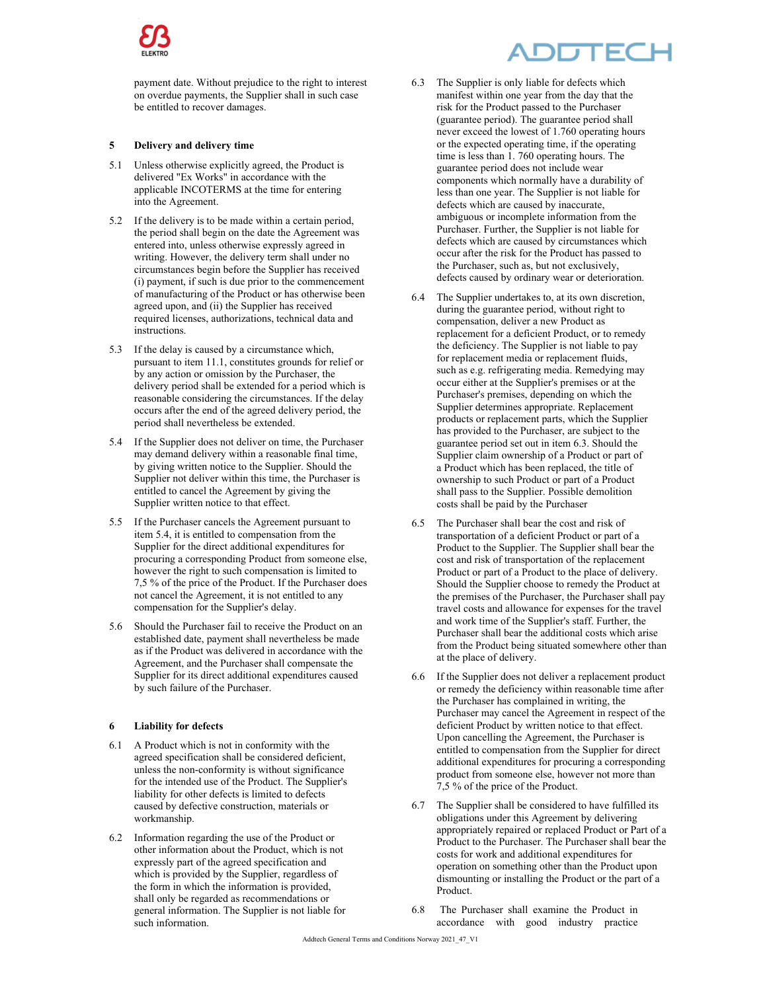

payment date. Without prejudice to the right to interest on overdue payments, the Supplier shall in such case be entitled to recover damages.

#### **5 Delivery and delivery time**

- 5.1 Unless otherwise explicitly agreed, the Product is delivered "Ex Works" in accordance with the applicable INCOTERMS at the time for entering into the Agreement.
- 5.2 If the delivery is to be made within a certain period, the period shall begin on the date the Agreement was entered into, unless otherwise expressly agreed in writing. However, the delivery term shall under no circumstances begin before the Supplier has received (i) payment, if such is due prior to the commencement of manufacturing of the Product or has otherwise been agreed upon, and (ii) the Supplier has received required licenses, authorizations, technical data and instructions.
- 5.3 If the delay is caused by a circumstance which, pursuant to item 11.1, constitutes grounds for relief or by any action or omission by the Purchaser, the delivery period shall be extended for a period which is reasonable considering the circumstances. If the delay occurs after the end of the agreed delivery period, the period shall nevertheless be extended.
- 5.4 If the Supplier does not deliver on time, the Purchaser may demand delivery within a reasonable final time, by giving written notice to the Supplier. Should the Supplier not deliver within this time, the Purchaser is entitled to cancel the Agreement by giving the Supplier written notice to that effect.
- 5.5 If the Purchaser cancels the Agreement pursuant to item 5.4, it is entitled to compensation from the Supplier for the direct additional expenditures for procuring a corresponding Product from someone else, however the right to such compensation is limited to 7,5 % of the price of the Product. If the Purchaser does not cancel the Agreement, it is not entitled to any compensation for the Supplier's delay.
- 5.6 Should the Purchaser fail to receive the Product on an established date, payment shall nevertheless be made as if the Product was delivered in accordance with the Agreement, and the Purchaser shall compensate the Supplier for its direct additional expenditures caused by such failure of the Purchaser.

#### **6 Liability for defects**

- 6.1 A Product which is not in conformity with the agreed specification shall be considered deficient, unless the non-conformity is without significance for the intended use of the Product. The Supplier's liability for other defects is limited to defects caused by defective construction, materials or workmanship.
- 6.2 Information regarding the use of the Product or other information about the Product, which is not expressly part of the agreed specification and which is provided by the Supplier, regardless of the form in which the information is provided, shall only be regarded as recommendations or general information. The Supplier is not liable for such information.

# DDTECI

- 6.3 The Supplier is only liable for defects which manifest within one year from the day that the risk for the Product passed to the Purchaser (guarantee period). The guarantee period shall never exceed the lowest of 1.760 operating hours or the expected operating time, if the operating time is less than 1. 760 operating hours. The guarantee period does not include wear components which normally have a durability of less than one year. The Supplier is not liable for defects which are caused by inaccurate, ambiguous or incomplete information from the Purchaser. Further, the Supplier is not liable for defects which are caused by circumstances which occur after the risk for the Product has passed to the Purchaser, such as, but not exclusively, defects caused by ordinary wear or deterioration.
- 6.4 The Supplier undertakes to, at its own discretion, during the guarantee period, without right to compensation, deliver a new Product as replacement for a deficient Product, or to remedy the deficiency. The Supplier is not liable to pay for replacement media or replacement fluids, such as e.g. refrigerating media. Remedying may occur either at the Supplier's premises or at the Purchaser's premises, depending on which the Supplier determines appropriate. Replacement products or replacement parts, which the Supplier has provided to the Purchaser, are subject to the guarantee period set out in item 6.3. Should the Supplier claim ownership of a Product or part of a Product which has been replaced, the title of ownership to such Product or part of a Product shall pass to the Supplier. Possible demolition costs shall be paid by the Purchaser
- 6.5 The Purchaser shall bear the cost and risk of transportation of a deficient Product or part of a Product to the Supplier. The Supplier shall bear the cost and risk of transportation of the replacement Product or part of a Product to the place of delivery. Should the Supplier choose to remedy the Product at the premises of the Purchaser, the Purchaser shall pay travel costs and allowance for expenses for the travel and work time of the Supplier's staff. Further, the Purchaser shall bear the additional costs which arise from the Product being situated somewhere other than at the place of delivery.
- 6.6 If the Supplier does not deliver a replacement product or remedy the deficiency within reasonable time after the Purchaser has complained in writing, the Purchaser may cancel the Agreement in respect of the deficient Product by written notice to that effect. Upon cancelling the Agreement, the Purchaser is entitled to compensation from the Supplier for direct additional expenditures for procuring a corresponding product from someone else, however not more than 7,5 % of the price of the Product.
- 6.7 The Supplier shall be considered to have fulfilled its obligations under this Agreement by delivering appropriately repaired or replaced Product or Part of a Product to the Purchaser. The Purchaser shall bear the costs for work and additional expenditures for operation on something other than the Product upon dismounting or installing the Product or the part of a Product.
- 6.8 The Purchaser shall examine the Product in accordance with good industry practice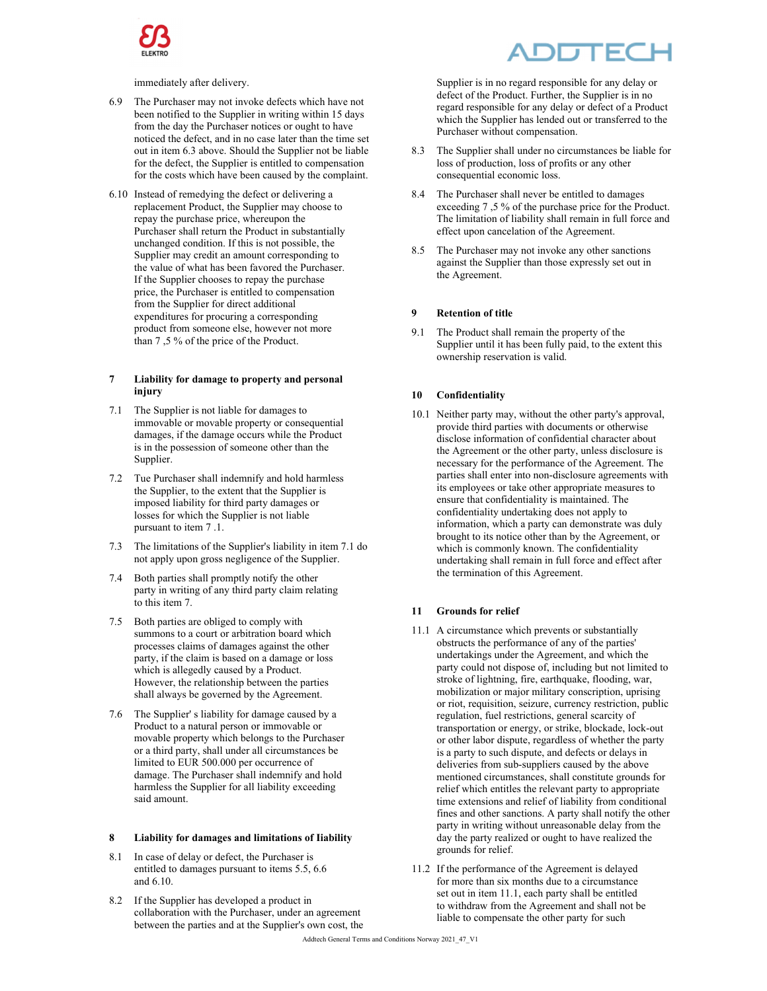

immediately after delivery.

- 6.9 The Purchaser may not invoke defects which have not been notified to the Supplier in writing within 15 days from the day the Purchaser notices or ought to have noticed the defect, and in no case later than the time set out in item 6.3 above. Should the Supplier not be liable for the defect, the Supplier is entitled to compensation for the costs which have been caused by the complaint.
- 6.10 Instead of remedying the defect or delivering a replacement Product, the Supplier may choose to repay the purchase price, whereupon the Purchaser shall return the Product in substantially unchanged condition. If this is not possible, the Supplier may credit an amount corresponding to the value of what has been favored the Purchaser. If the Supplier chooses to repay the purchase price, the Purchaser is entitled to compensation from the Supplier for direct additional expenditures for procuring a corresponding product from someone else, however not more than 7 ,5 % of the price of the Product.

#### **7 Liability for damage to property and personal injury**

- 7.1 The Supplier is not liable for damages to immovable or movable property or consequential damages, if the damage occurs while the Product is in the possession of someone other than the Supplier.
- 7.2 Tue Purchaser shall indemnify and hold harmless the Supplier, to the extent that the Supplier is imposed liability for third party damages or losses for which the Supplier is not liable pursuant to item 7 .1.
- 7.3 The limitations of the Supplier's liability in item 7.1 do not apply upon gross negligence of the Supplier.
- 7.4 Both parties shall promptly notify the other party in writing of any third party claim relating to this item 7.
- 7.5 Both parties are obliged to comply with summons to a court or arbitration board which processes claims of damages against the other party, if the claim is based on a damage or loss which is allegedly caused by a Product. However, the relationship between the parties shall always be governed by the Agreement.
- 7.6 The Supplier' s liability for damage caused by a Product to a natural person or immovable or movable property which belongs to the Purchaser or a third party, shall under all circumstances be limited to EUR 500.000 per occurrence of damage. The Purchaser shall indemnify and hold harmless the Supplier for all liability exceeding said amount.

#### **8 Liability for damages and limitations of Iiability**

- 8.1 In case of delay or defect, the Purchaser is entitled to damages pursuant to items 5.5, 6.6 and 6.10.
- 8.2 If the Supplier has developed a product in collaboration with the Purchaser, under an agreement between the parties and at the Supplier's own cost, the

# JTF(

Supplier is in no regard responsible for any delay or defect of the Product. Further, the Supplier is in no regard responsible for any delay or defect of a Product which the Supplier has lended out or transferred to the Purchaser without compensation.

- 8.3 The Supplier shall under no circumstances be liable for loss of production, loss of profits or any other consequential economic loss.
- 8.4 The Purchaser shall never be entitled to damages exceeding 7 ,5 % of the purchase price for the Product. The limitation of liability shall remain in full force and effect upon cancelation of the Agreement.
- 8.5 The Purchaser may not invoke any other sanctions against the Supplier than those expressly set out in the Agreement.

#### **9 Retention of title**

9.1 The Product shall remain the property of the Supplier until it has been fully paid, to the extent this ownership reservation is valid.

#### **10 Confidentiality**

10.1 Neither party may, without the other party's approval, provide third parties with documents or otherwise disclose information of confidential character about the Agreement or the other party, unless disclosure is necessary for the performance of the Agreement. The parties shall enter into non-disclosure agreements with its employees or take other appropriate measures to ensure that confidentiality is maintained. The confidentiality undertaking does not apply to information, which a party can demonstrate was duly brought to its notice other than by the Agreement, or which is commonly known. The confidentiality undertaking shall remain in full force and effect after the termination of this Agreement.

#### **11 Grounds for relief**

- 11.1 A circumstance which prevents or substantially obstructs the performance of any of the parties' undertakings under the Agreement, and which the party could not dispose of, including but not limited to stroke of lightning, fire, earthquake, flooding, war, mobilization or major military conscription, uprising or riot, requisition, seizure, currency restriction, public regulation, fuel restrictions, general scarcity of transportation or energy, or strike, blockade, lock-out or other labor dispute, regardless of whether the party is a party to such dispute, and defects or delays in deliveries from sub-suppliers caused by the above mentioned circumstances, shall constitute grounds for relief which entitles the relevant party to appropriate time extensions and relief of liability from conditional fines and other sanctions. A party shall notify the other party in writing without unreasonable delay from the day the party realized or ought to have realized the grounds for relief.
- 11.2 If the performance of the Agreement is delayed for more than six months due to a circumstance set out in item 11.1, each party shall be entitled to withdraw from the Agreement and shall not be liable to compensate the other party for such